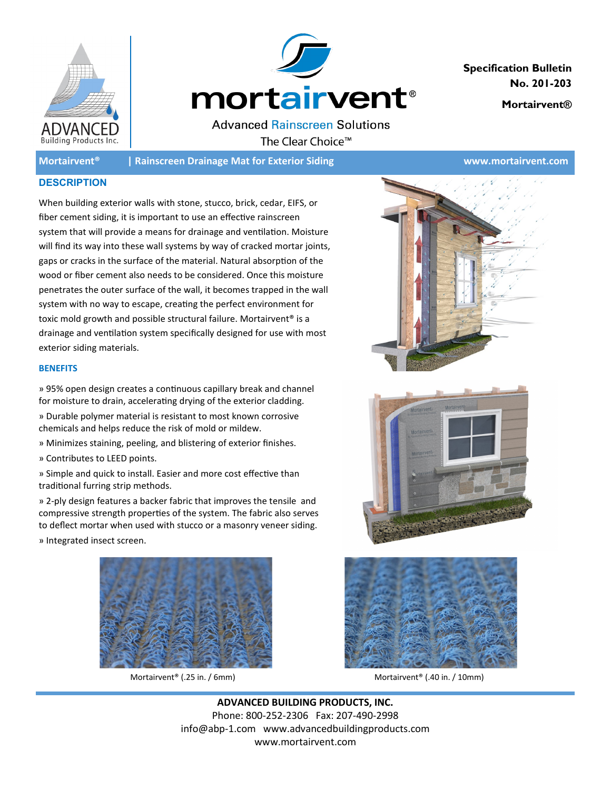



**Specification Bulletin No. 201-203** 

**Mortairvent®** 

**Advanced Rainscreen Solutions** The Clear Choice<sup>™</sup>

**Mortairvent® | Rainscreen Drainage Mat for Exterior Siding www.mortairvent.com**

## **DESCRIPTION**

When building exterior walls with stone, stucco, brick, cedar, EIFS, or fiber cement siding, it is important to use an effective rainscreen system that will provide a means for drainage and ventilation. Moisture will find its way into these wall systems by way of cracked mortar joints, gaps or cracks in the surface of the material. Natural absorption of the wood or fiber cement also needs to be considered. Once this moisture penetrates the outer surface of the wall, it becomes trapped in the wall system with no way to escape, creating the perfect environment for toxic mold growth and possible structural failure. Mortairvent<sup>®</sup> is a drainage and ventilation system specifically designed for use with most exterior siding materials.

## **BENEFITS**

» 95% open design creates a continuous capillary break and channel for moisture to drain, accelerating drying of the exterior cladding.

- » Durable polymer material is resistant to most known corrosive chemicals and helps reduce the risk of mold or mildew.
- » Minimizes staining, peeling, and blistering of exterior finishes.
- » Contributes to LEED points.

» Simple and quick to install. Easier and more cost effective than traditional furring strip methods.

» 2-ply design features a backer fabric that improves the tensile and compressive strength properties of the system. The fabric also serves to deflect mortar when used with stucco or a masonry veneer siding. » Integrated insect screen.









Mortairvent<sup>®</sup> (.25 in. / 6mm) Mortairvent® (.40 in. / 10mm)

**ADVANCED BUILDING PRODUCTS, INC.** Phone: 800-252-2306 Fax: 207-490-2998 info@abp-1.com www.advancedbuildingproducts.com www.mortairvent.com